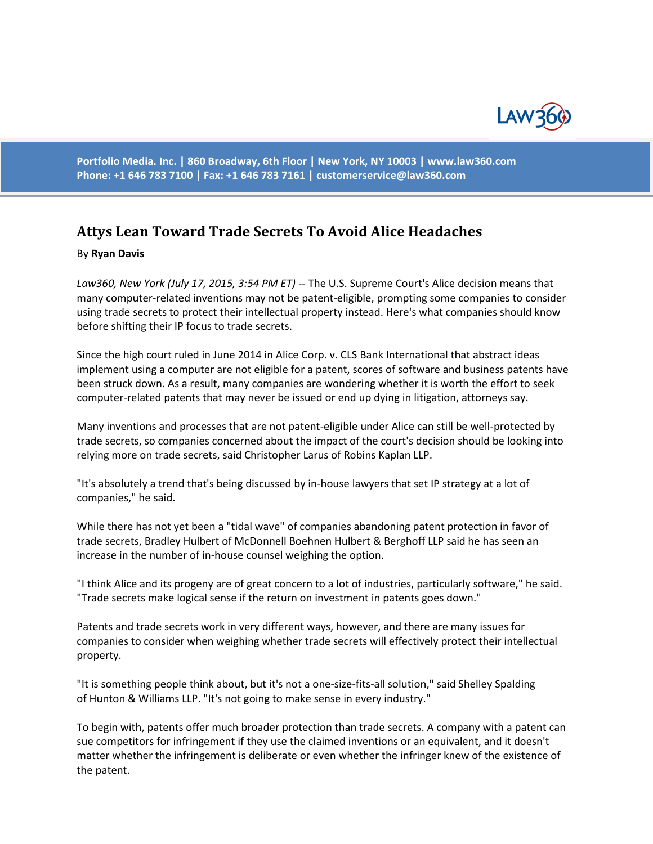

**Portfolio Media. Inc. | 860 Broadway, 6th Floor | New York, NY 10003 | www.law360.com Phone: +1 646 783 7100 | Fax: +1 646 783 7161 | [customerservice@law360.com](mailto:customerservice@law360.com)**

## **Attys Lean Toward Trade Secrets To Avoid Alice Headaches**

## By **Ryan Davis**

*Law360, New York (July 17, 2015, 3:54 PM ET)* -- The U.S. Supreme Court's Alice decision means that many computer-related inventions may not be patent-eligible, prompting some companies to consider using trade secrets to protect their intellectual property instead. Here's what companies should know before shifting their IP focus to trade secrets.

Since the high court ruled in June 2014 in Alice Corp. v. CLS Bank International that abstract ideas implement using a computer are not eligible for a patent, scores of software and business patents have been struck down. As a result, many companies are wondering whether it is worth the effort to seek computer-related patents that may never be issued or end up dying in litigation, attorneys say.

Many inventions and processes that are not patent-eligible under Alice can still be well-protected by trade secrets, so companies concerned about the impact of the court's decision should be looking into relying more on trade secrets, said Christopher Larus of Robins Kaplan LLP.

"It's absolutely a trend that's being discussed by in-house lawyers that set IP strategy at a lot of companies," he said.

While there has not yet been a "tidal wave" of companies abandoning patent protection in favor of trade secrets, Bradley Hulbert of McDonnell Boehnen Hulbert & Berghoff LLP said he has seen an increase in the number of in-house counsel weighing the option.

"I think Alice and its progeny are of great concern to a lot of industries, particularly software," he said. "Trade secrets make logical sense if the return on investment in patents goes down."

Patents and trade secrets work in very different ways, however, and there are many issues for companies to consider when weighing whether trade secrets will effectively protect their intellectual property.

"It is something people think about, but it's not a one-size-fits-all solution," said Shelley Spalding of Hunton & Williams LLP. "It's not going to make sense in every industry."

To begin with, patents offer much broader protection than trade secrets. A company with a patent can sue competitors for infringement if they use the claimed inventions or an equivalent, and it doesn't matter whether the infringement is deliberate or even whether the infringer knew of the existence of the patent.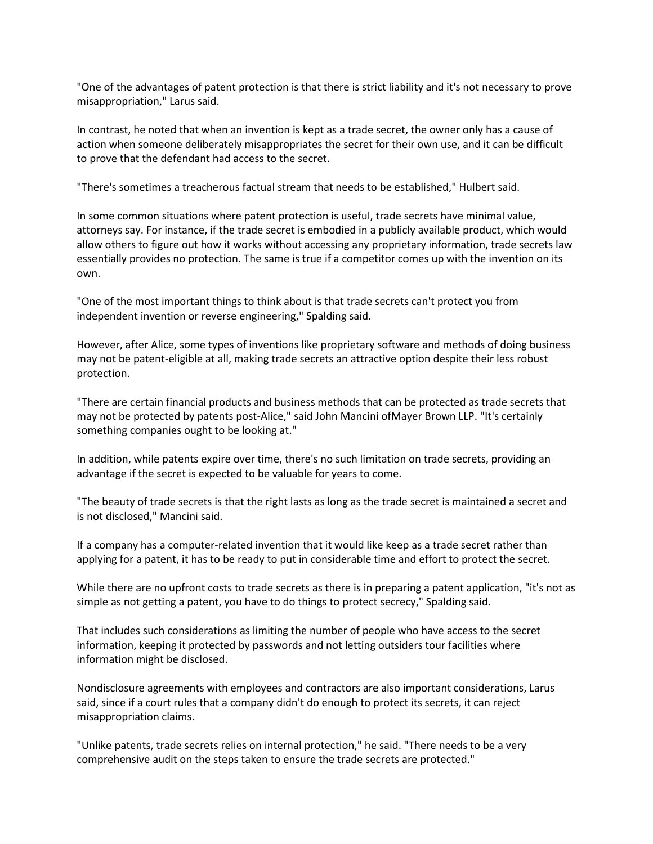"One of the advantages of patent protection is that there is strict liability and it's not necessary to prove misappropriation," Larus said.

In contrast, he noted that when an invention is kept as a trade secret, the owner only has a cause of action when someone deliberately misappropriates the secret for their own use, and it can be difficult to prove that the defendant had access to the secret.

"There's sometimes a treacherous factual stream that needs to be established," Hulbert said.

In some common situations where patent protection is useful, trade secrets have minimal value, attorneys say. For instance, if the trade secret is embodied in a publicly available product, which would allow others to figure out how it works without accessing any proprietary information, trade secrets law essentially provides no protection. The same is true if a competitor comes up with the invention on its own.

"One of the most important things to think about is that trade secrets can't protect you from independent invention or reverse engineering," Spalding said.

However, after Alice, some types of inventions like proprietary software and methods of doing business may not be patent-eligible at all, making trade secrets an attractive option despite their less robust protection.

"There are certain financial products and business methods that can be protected as trade secrets that may not be protected by patents post-Alice," said John Mancini ofMayer Brown LLP. "It's certainly something companies ought to be looking at."

In addition, while patents expire over time, there's no such limitation on trade secrets, providing an advantage if the secret is expected to be valuable for years to come.

"The beauty of trade secrets is that the right lasts as long as the trade secret is maintained a secret and is not disclosed," Mancini said.

If a company has a computer-related invention that it would like keep as a trade secret rather than applying for a patent, it has to be ready to put in considerable time and effort to protect the secret.

While there are no upfront costs to trade secrets as there is in preparing a patent application, "it's not as simple as not getting a patent, you have to do things to protect secrecy," Spalding said.

That includes such considerations as limiting the number of people who have access to the secret information, keeping it protected by passwords and not letting outsiders tour facilities where information might be disclosed.

Nondisclosure agreements with employees and contractors are also important considerations, Larus said, since if a court rules that a company didn't do enough to protect its secrets, it can reject misappropriation claims.

"Unlike patents, trade secrets relies on internal protection," he said. "There needs to be a very comprehensive audit on the steps taken to ensure the trade secrets are protected."